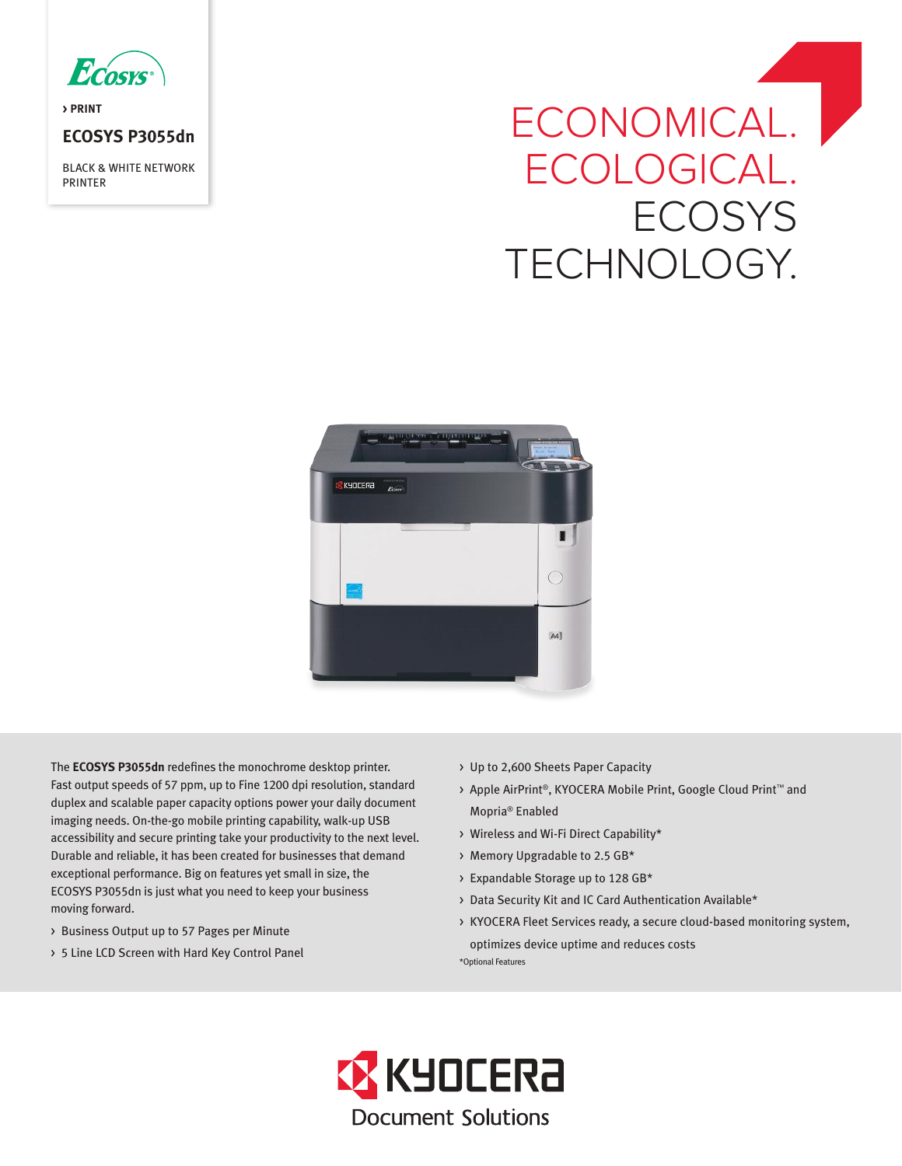

**> PRINT**

# **ECOSYS P3055dn**

BLACK & WHITE NETWORK PRINTER

# ECONOMICAL.<sup>|</sup> ECOLOGICAL. **ECOSYS** TECHNOLOGY.



The **ECOSYS P3055dn** redefines the monochrome desktop printer. Fast output speeds of 57 ppm, up to Fine 1200 dpi resolution, standard duplex and scalable paper capacity options power your daily document imaging needs. On-the-go mobile printing capability, walk-up USB accessibility and secure printing take your productivity to the next level. Durable and reliable, it has been created for businesses that demand exceptional performance. Big on features yet small in size, the ECOSYS P3055dn is just what you need to keep your business moving forward.

- > Business Output up to 57 Pages per Minute
- > 5 Line LCD Screen with Hard Key Control Panel
- > Up to 2,600 Sheets Paper Capacity
- > Apple AirPrint®, KYOCERA Mobile Print, Google Cloud Print™ and Mopria® Enabled
- > Wireless and Wi-Fi Direct Capability\*
- > Memory Upgradable to 2.5 GB\*
- > Expandable Storage up to 128 GB\*
- > Data Security Kit and IC Card Authentication Available\*
- > KYOCERA Fleet Services ready, a secure cloud-based monitoring system, optimizes device uptime and reduces costs \*Optional Features